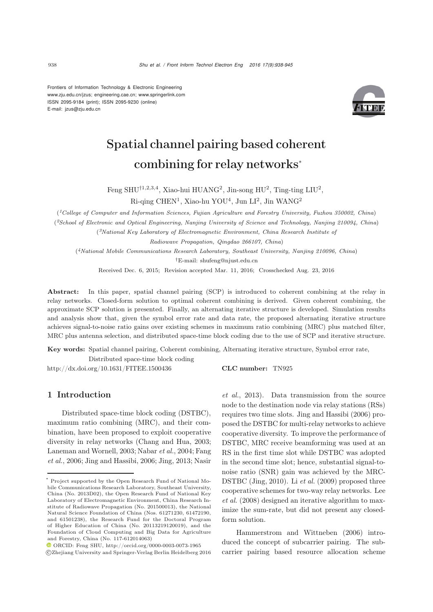Frontiers of Information Technology & Electronic Engineering www.zju.edu.cn/jzus; engineering.cae.cn; www.springerlink.com ISSN 2095-9184 (print); ISSN 2095-9230 (online) E-mail: jzus@zju.edu.cn



# Spatial channel pairing based coherent combining for relay networks<sup>∗</sup>

Feng SHU<sup>†1,2,3,4</sup>, Xiao-hui HUANG<sup>2</sup>, Jin-song HU<sup>2</sup>, Ting-ting LIU<sup>2</sup>,

Ri-qing CHEN<sup>1</sup>, Xiao-hu YOU<sup>4</sup>, Jun LI<sup>2</sup>, Jin WANG<sup>2</sup>

(*1College of Computer and Information Sciences, Fujian Agriculture and Forestry University, Fuzhou 350002, China*)

(*2School of Electronic and Optical Engineering, Nanjing University of Science and Technology, Nanjing 210094, China*)

(*3National Key Laboratory of Electromagnetic Environment, China Research Institute of*

*Radiowave Propagation, Qingdao 266107, China*)

(*4National Mobile Communications Research Laboratory, Southeast University, Nanjing 210096, China*) *†*E-mail: shufeng@njust.edu.cn

Received Dec. 6, 2015; Revision accepted Mar. 11, 2016; Crosschecked Aug. 23, 2016

Abstract: In this paper, spatial channel pairing (SCP) is introduced to coherent combining at the relay in relay networks. Closed-form solution to optimal coherent combining is derived. Given coherent combining, the approximate SCP solution is presented. Finally, an alternating iterative structure is developed. Simulation results and analysis show that, given the symbol error rate and data rate, the proposed alternating iterative structure achieves signal-to-noise ratio gains over existing schemes in maximum ratio combining (MRC) plus matched filter, MRC plus antenna selection, and distributed space-time block coding due to the use of SCP and iterative structure.

Key words: Spatial channel pairing, Coherent combining, Alternating iterative structure, Symbol error rate, Distributed space-time block coding

http://dx.doi.org/10.1631/FITEE.1500436 CLC number: TN925

## 1 Introduction

Distributed space-time block coding (DSTBC), maximum ratio combining (MRC), and their combination, have been proposed to exploit cooperative diversity in relay networks [\(Chang and Hua,](#page-6-0) [2003;](#page-7-5) [Laneman and Wornell](#page-7-0)[,](#page-7-2) [2003;](#page-7-0) [Nabar](#page-7-1) *et al.*, [2004](#page-7-1); Fang *et al.*, [2006;](#page-7-2) [Jing and Hassibi, 2006](#page-7-3); [Jing, 2013](#page-7-4); Nasir *et al.*, [2013\)](#page-7-5). Data transmission from the source node to the destination node via relay stations (RSs) requires two time slots. [Jing and Hassibi](#page-7-3) [\(2006](#page-7-3)) proposed the DSTBC for multi-relay networks to achieve cooperative diversity. To improve the performance of DSTBC, MRC receive beamforming was used at an RS in the first time slot while DSTBC was adopted in the second time slot; hence, substantial signal-tonoise ratio (SNR) gain was achieved by the MRC-DSTBC [\(Jing, 2010](#page-7-6)). Li *[et al.](#page-7-7)* [\(2009\)](#page-7-7) proposed three coop[erative](#page-7-8) [schemes](#page-7-8) [for](#page-7-8) [two-way](#page-7-8) [relay](#page-7-8) [networks.](#page-7-8) Lee *et al.* [\(2008](#page-7-8)) designed an iterative algorithm to maximize the sum-rate, but did not present any closed[form](#page-7-9) [solution.](#page-7-9)

Hammerstrom and Wittneben [\(2006](#page-7-9)) introduced the concept of subcarrier pairing. The subcarrier pairing based resource allocation scheme

<sup>\*</sup> Project supported by the Open Research Fund of National Mobile Communications Research Laboratory, Southeast University, China (No. 2013D02), the Open Research Fund of National Key Laboratory of Electromagnetic Environment, China Research Institute of Radiowave Propagation (No. 201500013), the National Natural Science Foundation of China (Nos. 61271230, 61472190, and 61501238), the Research Fund for the Doctoral Program of Higher Education of China (No. 20113219120019), and the Foundation of Cloud Computing and Big Data for Agriculture and Forestry, China (No. 117-612014063)

ORCID: Feng SHU, http://orcid.org/0000-0003-0073-1965 c Zhejiang University and Springer-Verlag Berlin Heidelberg 2016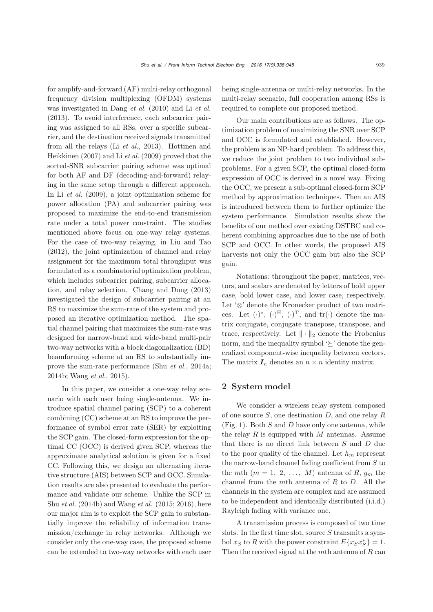for amplify-and-forward (AF) multi-relay orthogonal frequency division multiplexing (OFDM) systems was investigated in [Dang](#page-6-1) *et al.* [\(2010](#page-6-1)) and Li *[et al.](#page-7-10)* [\(2013](#page-7-10)). To avoid interference, each subcarrier pairing was assigned to all RSs, over a specific subcarrier, and the destination received signals transmitted from all t[he](#page-7-11) [relays](#page-7-11) [\(Li](#page-7-11) *[et al.](#page-7-10)*, [2013\)](#page-7-10). Hottinen and Heikkinen [\(2007](#page-7-11)) and Li *[et al.](#page-7-12)* [\(2009](#page-7-12)) proved that the sorted-SNR subcarrier pairing scheme was optimal for both AF and DF (decoding-and-forward) relaying in the same setup through a different approach. In Li *[et al.](#page-7-7)* [\(2009\)](#page-7-7), a joint optimization scheme for power allocation (PA) and subcarrier pairing was proposed to maximize the end-to-end transmission rate under a total power constraint. The studies mentioned above focus on one-way relay systems. For the case of two-way relaying, in [Liu and Tao](#page-7-13) [\(2012](#page-7-13)), the joint optimization of channel and relay assignment for the maximum total throughput was formulated as a combinatorial optimization problem, which includes subcarrier pairing, subcarrier allocation, and relay selection. [Chang and Dong](#page-6-2) [\(2013](#page-6-2)) investigated the design of subcarrier pairing at an RS to maximize the sum-rate of the system and proposed an iterative optimization method. The spatial channel pairing that maximizes the sum-rate was designed for narrow-band and wide-band multi-pair two-way networks with a block diagonalization (BD) beamforming scheme at an RS to substantially improve the sum-rate performance (Shu *et al.*, 2014a; 2014b; Wang *et al.*, 2015).

In this paper, we consider a one-way relay scenario with each user being single-antenna. We introduce spatial channel paring (SCP) to a coherent combining (CC) scheme at an RS to improve the performance of symbol error rate (SER) by exploiting the SCP gain. The closed-form expression for the optimal CC (OCC) is derived given SCP, whereas the approximate analytical solution is given for a fixed CC. Following this, we design an alternating iterative structure (AIS) between SCP and OCC. Simulation results are also presented to evaluate the performance and validate our scheme. Unlike the SCP in Shu *[et al.](#page-7-14)* [\(2014b\)](#page-7-14) and Wang *et al.* (2015; 2016), here our major aim is to exploit the SCP gain to substantially improve the reliability of information transmission/exchange in relay networks. Although we consider only the one-way case, the proposed scheme can be extended to two-way networks with each user

being single-antenna or multi-relay networks. In the multi-relay scenario, full cooperation among RSs is required to complete our proposed method.

Our main contributions are as follows. The optimization problem of maximizing the SNR over SCP and OCC is formulated and established. However, the problem is an NP-hard problem. To address this, we reduce the joint problem to two individual subproblems. For a given SCP, the optimal closed-form expression of OCC is derived in a novel way. Fixing the OCC, we present a sub-optimal closed-form SCP method by approximation techniques. Then an AIS is introduced between them to further optimize the system performance. Simulation results show the benefits of our method over existing DSTBC and coherent combining approaches due to the use of both SCP and OCC. In other words, the proposed AIS harvests not only the OCC gain but also the SCP gain.

Notations: throughout the paper, matrices, vectors, and scalars are denoted by letters of bold upper case, bold lower case, and lower case, respectively. Let '⊗' denote the Kronecker product of two matrices. Let  $(\cdot)^*, (\cdot)^{\text{H}}, (\cdot)^{\text{T}}, \text{ and } \text{tr}(\cdot)$  denote the matrix conjugate, conjugate transpose, transpose, and trace, respectively. Let  $\|\cdot\|_2$  denote the Frobenius norm, and the inequality symbol  $'\succeq$  denote the generalized component-wise inequality between vectors. The matrix  $I_n$  denotes an  $n \times n$  identity matrix.

## 2 System model

We consider a wireless relay system composed of one source  $S$ , one destination  $D$ , and one relay  $R$ (Fig. 1). Both  $S$  and  $D$  have only one antenna, while the relay  $R$  is equipped with  $M$  antennas. Assume that there is no direct link between S and D due to the poor quality of the channel. Let  $h_m$  represent the narrow-band channel fading coefficient from  $S$  to the mth  $(m = 1, 2, ..., M)$  antenna of R,  $q_m$  the channel from the mth antenna of  $R$  to  $D$ . All the channels in the system are complex and are assumed to be independent and identically distributed (i.i.d.) Rayleigh fading with variance one.

A transmission process is composed of two time slots. In the first time slot, source  $S$  transmits a symbol  $x_S$  to R with the power constraint  $E\{x_S x_S^* \} = 1$ .<br>Then the possived simple t the m<sup>th</sup> enterpreted B sep Then the received signal at the  $m$ th antenna of  $R$  can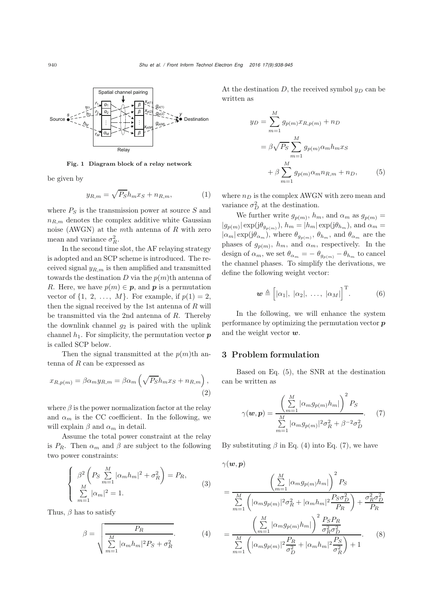

Fig. 1 Diagram block of a relay network

be given by

$$
y_{R,m} = \sqrt{P_S}h_m x_S + n_{R,m},\tag{1}
$$

where  $P<sub>S</sub>$  is the transmission power at source S and  $n_{R,m}$  denotes the complex additive white Gaussian noise (AWGN) at the mth antenna of  $R$  with zero mean and variance  $\sigma_R^2$ .<br>In the second time

In the second time slot, the AF relaying strategy is adopted and an SCP scheme is introduced. The received signal  $y_{R,m}$  is then amplified and transmitted towards the destination  $D$  via the  $p(m)$ <sup>th</sup> antenna of R. Here, we have  $p(m) \in p$ , and p is a permutation vector of  $\{1, 2, \ldots, M\}$ . For example, if  $p(1) = 2$ , then the signal received by the 1st antenna of  $R$  will be transmitted via the 2nd antenna of  $R$ . Thereby the downlink channel  $g_2$  is paired with the uplink channel  $h_1$ . For simplicity, the permutation vector  $p$ is called SCP below.

Then the signal transmitted at the  $p(m)$ <sup>th</sup> antenna of  $R$  can be expressed as

$$
x_{R,p(m)} = \beta \alpha_m y_{R,m} = \beta \alpha_m \left( \sqrt{P_S} h_m x_S + n_{R,m} \right),\tag{2}
$$

where  $\beta$  is the power normalization factor at the relay and  $\alpha_m$  is the CC coefficient. In the following, we will explain  $\beta$  and  $\alpha_m$  in detail.

Assume the total power constraint at the relay is  $P_R$ . Then  $\alpha_m$  and  $\beta$  are subject to the following two power constraints:

$$
\begin{cases}\n\beta^2 \left( P_S \sum_{m=1}^M |\alpha_m h_m|^2 + \sigma_R^2 \right) = P_R, \\
\sum_{m=1}^M |\alpha_m|^2 = 1.\n\end{cases} \tag{3}
$$

Thus,  $\beta$  has to satisfy

$$
\beta = \sqrt{\frac{P_R}{\sum_{m=1}^{M} |\alpha_m h_m|^2 P_S + \sigma_R^2}}.
$$
\n(4)

At the destination D, the received symbol  $y_D$  can be written as

<span id="page-2-0"></span>
$$
y_D = \sum_{m=1}^{M} g_{p(m)} x_{R,p(m)} + n_D
$$
  
=  $\beta \sqrt{P_S} \sum_{m=1}^{M} g_{p(m)} \alpha_m h_m x_S$   
+  $\beta \sum_{m=1}^{M} g_{p(m)} \alpha_m n_{R,m} + n_D,$  (5)

where  $n_D$  is the complex AWGN with zero mean and variance  $\sigma_D^2$  at the destination.

We further write  $g_{p(m)}$ ,  $h_m$ , and  $\alpha_m$  as  $g_{p(m)} =$  $|g_{p(m)}| \exp(\mathrm{j}\theta_{g_{p(m)}}), h_m = |h_m| \exp(\mathrm{j}\theta_{h_m}), \text{ and } \alpha_m =$  $|\alpha_m| \exp(j\theta_{\alpha_m})$ , where  $\theta_{g_{p(m)}}, \theta_{h_m}$ , and  $\theta_{\alpha_m}$  are the phases of  $g_{p(m)}$ ,  $h_m$ , and  $\alpha_m$ , respectively. In the design of  $\alpha_m$ , we set  $\theta_{\alpha_m} = -\theta_{g_{p(m)}} - \theta_{h_m}$  to cancel the channel phases. To simplify the derivations, we define the following weight vector:

$$
\mathbf{w} \triangleq [|\alpha_1|, |\alpha_2|, \ldots, |\alpha_M|]^{T}.
$$
 (6)

In the following, we will enhance the system performance by optimizing the permutation vector *p* and the weight vector *w*.

### 3 Problem formulation

Based on Eq. [\(5\)](#page-2-0), the SNR at the destination can be written as

<span id="page-2-2"></span>
$$
\gamma(\boldsymbol{w}, \boldsymbol{p}) = \frac{\left(\sum_{m=1}^{M} |\alpha_m g_{p(m)} h_m|\right)^2 P_S}{\sum_{m=1}^{M} |\alpha_m g_{p(m)}|^2 \sigma_R^2 + \beta^{-2} \sigma_D^2}.
$$
 (7)

By substituting  $\beta$  in Eq. [\(4\)](#page-2-1) into Eq. [\(7\)](#page-2-2), we have

<span id="page-2-1"></span>
$$
\gamma(\boldsymbol{w}, \boldsymbol{p})
$$
\n
$$
= \frac{\left(\sum\limits_{m=1}^{M} |\alpha_m g_{p(m)} h_m|\right)^2 P_S}{\sum\limits_{m=1}^{M} \left(|\alpha_m g_{p(m)}|^2 \sigma_R^2 + |\alpha_m h_m|^2 \frac{P_S \sigma_D^2}{P_R}\right) + \frac{\sigma_R^2 \sigma_D^2}{P_R}}
$$
\n
$$
= \frac{\left(\sum\limits_{m=1}^{M} |\alpha_m g_{p(m)} h_m|\right)^2 \frac{P_S P_R}{\sigma_R^2 \sigma_D^2}}{\sum\limits_{m=1}^{M} \left(|\alpha_m g_{p(m)}|^2 \frac{P_R}{\sigma_D^2} + |\alpha_m h_m|^2 \frac{P_S}{\sigma_R^2}\right) + 1}.
$$
\n(8)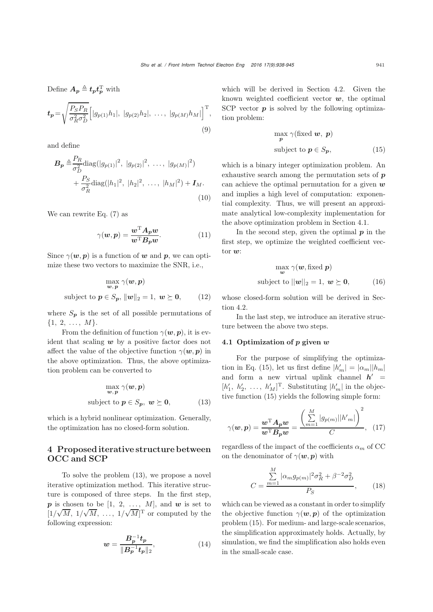Define 
$$
A_p \triangleq t_p t_p^T
$$
 with  
\n
$$
t_p = \sqrt{\frac{P_S P_R}{\sigma_R^2 \sigma_D^2}} \Big[ |g_{p(1)} h_1|, |g_{p(2)} h_2|, \ldots, |g_{p(M)} h_M| \Big]^T,
$$
\n(9)

and define

$$
\mathbf{B}_{\mathbf{p}} \triangleq \frac{P_R}{\sigma_D^2} \text{diag}(|g_{p(1)}|^2, |g_{p(2)}|^2, \dots, |g_{p(M)}|^2) + \frac{P_S}{\sigma_R^2} \text{diag}(|h_1|^2, |h_2|^2, \dots, |h_M|^2) + \mathbf{I}_M.
$$
\n(10)

We can rewrite Eq.  $(7)$  as

$$
\gamma(w, p) = \frac{w^{\mathrm{T}} A_p w}{w^{\mathrm{T}} B_p w}.\tag{11}
$$

Since  $\gamma(w, p)$  is a function of *w* and *p*, we can optimize these two vectors to maximize the SNR, i.e.,

$$
\max_{\boldsymbol{w}, \boldsymbol{p}} \gamma(\boldsymbol{w}, \boldsymbol{p})
$$
\nsubject to  $\boldsymbol{p} \in S_{\boldsymbol{p}}, ||\boldsymbol{w}||_2 = 1, \ \boldsymbol{w} \succeq \boldsymbol{0},$  (12)

where  $S_p$  is the set of all possible permutations of  $\{1, 2, \ldots, M\}.$ 

From the definition of function  $\gamma(w, p)$ , it is evident that scaling *w* by a positive factor does not affect the value of the objective function  $\gamma(w, p)$  in the above optimization. Thus, the above optimization problem can be converted to

$$
\max_{\boldsymbol{w}, \boldsymbol{p}} \gamma(\boldsymbol{w}, \boldsymbol{p})
$$
\nsubject to  $\boldsymbol{p} \in S_{\boldsymbol{p}}, \ \boldsymbol{w} \succeq \boldsymbol{0},$ \n(13)

<span id="page-3-0"></span>which is a hybrid nonlinear optimization. Generally, the optimization has no closed-form solution.

## 4 Proposed iterative structure between OCC and SCP

To solve the problem [\(13\)](#page-3-0), we propose a novel iterative optimization method. This iterative structure is composed of three steps. In the first step,  $p$  is chosen to be [1, 2, ..., M], and  $w$  is set to  $\frac{[1]}{f_0}$  $^{\circ}$  $M$ , 1/ √  $M, \ldots, 1/$ √  $\overline{M}]^{\mathrm{T}}$  or computed by the following expression:

$$
w = \frac{B_p^{-1} t_p}{\|B_p^{-1} t_p\|_2},\tag{14}
$$

which will be derived in Section 4.2. Given the known weighted coefficient vector *w*, the optimal SCP vector **p** is solved by the following optimization problem:

<span id="page-3-1"></span>
$$
\max_{\mathbf{p}} \gamma(\text{fixed } \mathbf{w}, \mathbf{p})
$$
\n
$$
\text{subject to } \mathbf{p} \in S_{\mathbf{p}},\tag{15}
$$

which is a binary integer optimization problem. An exhaustive search among the permutation sets of *p* can achieve the optimal permutation for a given *w* and implies a high level of computation: exponential complexity. Thus, we will present an approximate analytical low-complexity implementation for the above optimization problem in Section 4.1.

In the second step, given the optimal  $p$  in the first step, we optimize the weighted coefficient vector *w*:

<span id="page-3-2"></span>
$$
\max_{\mathbf{w}} \gamma(\mathbf{w}, \text{fixed } \mathbf{p})
$$
\nsubject to  $||\mathbf{w}||_2 = 1$ ,  $\mathbf{w} \succeq \mathbf{0}$ , (16)

whose closed-form solution will be derived in Section 4.2.

In the last step, we introduce an iterative structure between the above two steps.

#### 4.1 Optimization of *p* given *w*

For the purpose of simplifying the optimiza-tion in Eq. [\(15\)](#page-3-1), let us first define  $|h'_m| = |\alpha_m||h_m|$ and form a new virtual uplink channel  $h'$  =  $[h'_1, h'_2, \ldots, h'_M]^T$ . Substituting  $|h'_m|$  in the objective function (15) violds the following simple form. tive function [\(15\)](#page-3-1) yields the following simple form:

$$
\gamma(\boldsymbol{w}, \boldsymbol{p}) = \frac{\boldsymbol{w}^{\mathrm{T}} \boldsymbol{A}_{\boldsymbol{p}} \boldsymbol{w}}{\boldsymbol{w}^{\mathrm{T}} \boldsymbol{B}_{\boldsymbol{p}} \boldsymbol{w}} = \frac{\left(\sum_{m=1}^{M} |g_{p(m)}| |h'm|\right)^2}{C}, \quad (17)
$$

regardless of the impact of the coefficients  $\alpha_m$  of CC on the denominator of  $\gamma(w, p)$  with

$$
C = \frac{\sum_{m=1}^{M} |\alpha_m g_{p(m)}|^2 \sigma_R^2 + \beta^{-2} \sigma_D^2}{P_S},
$$
 (18)

which can be viewed as a constant in order to simplify the objective function  $\gamma(w, p)$  of the optimization problem [\(15\)](#page-3-1). For medium- and large-scale scenarios, the simplification approximately holds. Actually, by simulation, we find the simplification also holds even in the small-scale case.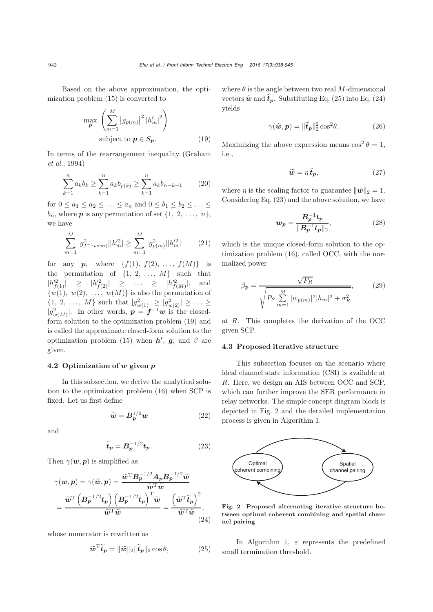Based on the above approximation, the optimization problem [\(15\)](#page-3-1) is converted to

$$
\max_{\boldsymbol{p}} \left( \sum_{m=1}^{M} \left| g_{p(m)} \right|^2 |h'_m|^2 \right)
$$
\nsubject to  $\boldsymbol{p} \in S_{\boldsymbol{p}}$ . (19)

In te[rms](#page-7-15) [of](#page-7-15) [the](#page-7-15) [rearrangement](#page-7-15) [inequality](#page-7-15) [\(](#page-7-15)Graham *et al.*, [1994\)](#page-7-15)

$$
\sum_{k=1}^{n} a_k b_k \ge \sum_{k=1}^{n} a_k b_{p(k)} \ge \sum_{k=1}^{n} a_k b_{n-k+1} \qquad (20)
$$

for  $0 \le a_1 \le a_2 \le \ldots \le a_n$  and  $0 \le b_1 \le b_2 \le \ldots \le b_n$ <br>by where **n** is any parameterian of set  $\{1, 2, \ldots, n\}$  $b_n$ , where **p** is any permutation of set  $\{1, 2, \ldots, n\}$ , we have

$$
\sum_{m=1}^{M} |g_{f^{-1}w(m)}^2||h_m'^2| \ge \sum_{m=1}^{M} |g_{p(m)}^2||h_m'^2| \qquad (21)
$$

for any **p**, where  $\{f(1), f(2), ..., f(M)\}$  is the permutation of  $\{1, 2, ..., M\}$  such that  $|h_{f(1)}^2| \ge |h_{f(2)}^2| \ge ... \ge |h_{f(M)}^2|,$  and  $\frac{|h_{f(M)}^2|}{h_{f(M)}}$ , and  $\{w(1), w(2), \ldots, w(M)\}\$  is also the permutation of  $\{1, 2, ..., M\}$  such that  $|g_{w(1)}^2| \ge |g_{w(2)}^2| \ge ... \ge$  $|g_{w(M)}^2|$ . In other words,  $p = f^{-1}w$  is the closed-<br>form solution to the optimization problem (10) and form solution to the optimization problem [\(19\)](#page-4-0) and is called the approximate closed-form solution to the optimization problem [\(15\)](#page-3-1) when  $h'$ ,  $g$ , and  $\beta$  are given.

#### 4.2 Optimization of *w* given *p*

In this subsection, we derive the analytical solution to the optimization problem [\(16\)](#page-3-2) when SCP is fixed. Let us first define

$$
\widetilde{\boldsymbol{w}} = \boldsymbol{B}_p^{1/2} \boldsymbol{w} \tag{22}
$$

and

$$
\widetilde{t}_p = B_p^{-1/2} t_p. \tag{23}
$$

Then  $\gamma(w, p)$  is simplified as

$$
\gamma(w, p) = \gamma(\widetilde{w}, p) = \frac{\widetilde{w}^{\mathrm{T}} B_p^{-1/2} A_p B_p^{-1/2} \widetilde{w}}{\widetilde{w}^{\mathrm{T}} \widetilde{w}}
$$

$$
= \frac{\widetilde{w}^{\mathrm{T}} \left( B_p^{-1/2} t_p \right) \left( B_p^{-1/2} t_p \right)^{\mathrm{T}} \widetilde{w}}{\widetilde{w}^{\mathrm{T}} \widetilde{w}} = \frac{\left( \widetilde{w}^{\mathrm{T}} \widetilde{t}_p \right)^2}{\widetilde{w}^{\mathrm{T}} \widetilde{w}}, \tag{24}
$$

whose numerator is rewritten as

$$
\widetilde{\boldsymbol{w}}^{\mathrm{T}}\widetilde{\boldsymbol{t}}_{p} = \|\widetilde{\boldsymbol{w}}\|_{2}\|\widetilde{\boldsymbol{t}}_{p}\|_{2}\cos\theta, \tag{25}
$$

where  $\theta$  is the angle between two real M-dimensional vectors  $\widetilde{\boldsymbol{w}}$  and  $\boldsymbol{t}_p$ . Substituting Eq. [\(25\)](#page-4-1) into Eq. [\(24\)](#page-4-2) yields

$$
\gamma(\tilde{\boldsymbol{w}}, \boldsymbol{p}) = \|\tilde{\boldsymbol{t}}_{\boldsymbol{p}}\|_2^2 \cos^2 \theta. \tag{26}
$$

<span id="page-4-0"></span>Maximizing the above expression means  $\cos^2 \theta = 1$ , i.e.,

<span id="page-4-4"></span>
$$
\widetilde{\boldsymbol{w}} = \eta \, \widetilde{\boldsymbol{t}}_{\boldsymbol{p}},\tag{27}
$$

where  $\eta$  is the scaling factor to guarantee  $\|\tilde{\mathbf{w}}\|_2 = 1$ . Considering Eq. [\(23\)](#page-4-3) and the above solution, we have

$$
w_p = \frac{B_p^{-1} t_p}{\|B_p^{-1} t_p\|_2},\tag{28}
$$

<span id="page-4-5"></span>which is the unique closed-form solution to the optimization problem [\(16\)](#page-3-2), called OCC, with the normalized power

$$
\beta_{\mathbf{p}} = \frac{\sqrt{P_R}}{\sqrt{P_S \sum_{m=1}^{M} |w_{p(m)}|^2} |h_m|^2 + \sigma_R^2},
$$
(29)

at R. This completes the derivation of the OCC given SCP.

#### 4.3 Proposed iterative structure

This subsection focuses on the scenario where ideal channel state information (CSI) is available at R. Here, we design an AIS between OCC and SCP, which can further improve the SER performance in relay networks. The simple concept diagram block is depicted in Fig. 2 and the detailed implementation process is given in Algorithm 1.

<span id="page-4-3"></span>

<span id="page-4-2"></span>Fig. 2 Proposed alternating iterative structure between optimal coherent combining and spatial channel pairing

<span id="page-4-1"></span>In Algorithm 1,  $\varepsilon$  represents the predefined small termination threshold.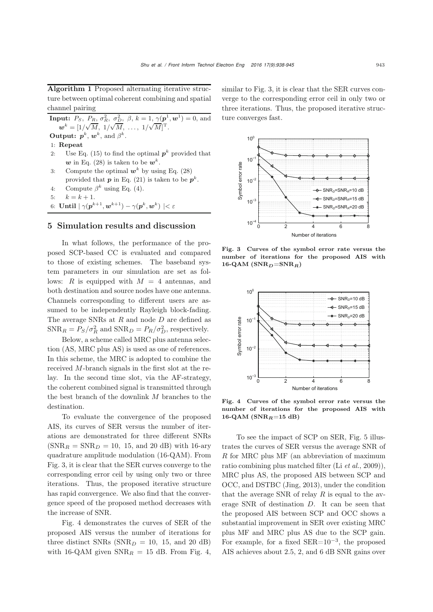Algorithm 1 Proposed alternating iterative structure between optimal coherent combining and spatial channel pairing

**Input:**  $P_S$ ,  $P_R$ ,  $\sigma_R^2$ ,  $\sigma_D^2$ ,  $\beta$ ,  $k = 1$ ,  $\gamma(p^1, \mathbf{w}^1) = 0$ , and  $w^{k} = [1/\sqrt{M}, 1/\sqrt{M}, ..., 1/\sqrt{M}]^{T}.$ **Output:**  $p^k$ ,  $w^k$ , and  $\beta^k$ .

1: Repeat

- 2: Use Eq. [\(15\)](#page-3-1) to find the optimal  $p^k$  provided that *w* in Eq. [\(28\)](#page-4-4) is taken to be  $w^k$ .
- 3: Compute the optimal  $w^k$  by using Eq. [\(28\)](#page-4-4) provided that  $p$  in Eq. [\(21\)](#page-4-5) is taken to be  $p^k$ .
- 4: Compute  $\beta^k$  using Eq. [\(4\)](#page-2-1).

5:  $k = k + 1$ .

6: Until 
$$
|\ \gamma(\pmb{p}^{k+1},\pmb{w}^{k+1})-\gamma(\pmb{p}^{k},\pmb{w}^{k})\ |<\varepsilon
$$

#### 5 Simulation results and discussion

In what follows, the performance of the proposed SCP-based CC is evaluated and compared to those of existing schemes. The baseband system parameters in our simulation are set as follows: R is equipped with  $M = 4$  antennas, and both destination and source nodes have one antenna. Channels corresponding to different users are assumed to be independently Rayleigh block-fading. The average SNRs at R and node D are defined as  $SNR_R = P_S/\sigma_R^2$  and  $SNR_D = P_R/\sigma_D^2$ , respectively.

Below, a scheme called MRC plus antenna selection (AS, MRC plus AS) is used as one of references. In this scheme, the MRC is adopted to combine the received M-branch signals in the first slot at the relay. In the second time slot, via the AF-strategy, the coherent combined signal is transmitted through the best branch of the downlink M branches to the destination.

To evaluate the convergence of the proposed AIS, its curves of SER versus the number of iterations are demonstrated for three different SNRs  $(SNR_R = SNR_D = 10, 15, and 20 dB)$  with 16-ary quadrature amplitude modulation (16-QAM). From Fig. 3, it is clear that the SER curves converge to the corresponding error ceil by using only two or three iterations. Thus, the proposed iterative structure has rapid convergence. We also find that the convergence speed of the proposed method decreases with the increase of SNR.

Fig. 4 demonstrates the curves of SER of the proposed AIS versus the number of iterations for three distinct SNRs  $(SNR_D = 10, 15, and 20 \text{ dB})$ with 16-QAM given  $SNR_R = 15$  dB. From Fig. 4,

similar to Fig. 3, it is clear that the SER curves converge to the corresponding error ceil in only two or three iterations. Thus, the proposed iterative structure converges fast.



Fig. 3 Curves of the symbol error rate versus the number of iterations for the proposed AIS with 16-QAM ( $\text{SNR}_D$ =SNR<sub>*R*</sub>)</sub>



Fig. 4 Curves of the symbol error rate versus the number of iterations for the proposed AIS with 16-QAM (SNR*R*=15 dB)

To see the impact of SCP on SER, Fig. 5 illustrates the curves of SER versus the average SNR of R for MRC plus MF (an abbreviation of maximum ratio combining plus matched filter (Li *[et al.](#page-7-7)*, [2009\)](#page-7-7)), MRC plus AS, the proposed AIS between SCP and OCC, and DSTBC [\(Jing, 2013](#page-7-4)), under the condition that the average SNR of relay  $R$  is equal to the average SNR of destination D. It can be seen that the proposed AIS between SCP and OCC shows a substantial improvement in SER over existing MRC plus MF and MRC plus AS due to the SCP gain. For example, for a fixed  $SER=10^{-3}$ , the proposed AIS achieves about 2.5, 2, and 6 dB SNR gains over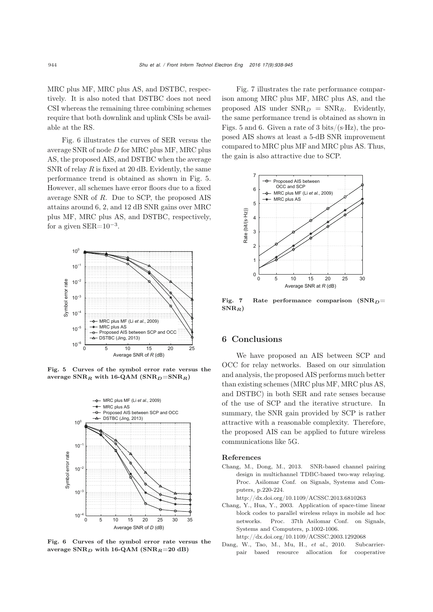MRC plus MF, MRC plus AS, and DSTBC, respectively. It is also noted that DSTBC does not need CSI whereas the remaining three combining schemes require that both downlink and uplink CSIs be available at the RS.

Fig. 6 illustrates the curves of SER versus the average SNR of node D for MRC plus MF, MRC plus AS, the proposed AIS, and DSTBC when the average SNR of relay  $R$  is fixed at 20 dB. Evidently, the same performance trend is obtained as shown in Fig. 5. However, all schemes have error floors due to a fixed average SNR of R. Due to SCP, the proposed AIS attains around 6, 2, and 12 dB SNR gains over MRC plus MF, MRC plus AS, and DSTBC, respectively, for a given  $SER=10^{-3}$ .



Fig. 5 Curves of the symbol error rate versus the average SNR*<sup>R</sup>* with 16-QAM (SNR*D*=SNR*R*)



Fig. 6 Curves of the symbol error rate versus the average SNR*<sup>D</sup>* with 16-QAM (SNR*R*=20 dB)

Fig. 7 illustrates the rate performance comparison among MRC plus MF, MRC plus AS, and the proposed AIS under  $SNR_D = SNR_R$ . Evidently, the same performance trend is obtained as shown in Figs. 5 and 6. Given a rate of 3 bits/(s $\cdot$ Hz), the proposed AIS shows at least a 5-dB SNR improvement compared to MRC plus MF and MRC plus AS. Thus, the gain is also attractive due to SCP.



Fig. 7 Rate performance comparison (SNR*D*= SNR*R*)

## 6 Conclusions

We have proposed an AIS between SCP and OCC for relay networks. Based on our simulation and analysis, the proposed AIS performs much better than existing schemes (MRC plus MF, MRC plus AS, and DSTBC) in both SER and rate senses because of the use of SCP and the iterative structure. In summary, the SNR gain provided by SCP is rather attractive with a reasonable complexity. Therefore, the proposed AIS can be applied to future wireless communications like 5G.

#### References

- <span id="page-6-2"></span>Chang, M., Dong, M., 2013. SNR-based channel pairing design in multichannel TDBC-based two-way relaying. Proc. Asilomar Conf. on Signals, Systems and Computers, p.220-224.
	- http://dx.doi.org/10.1109/ACSSC.2013.6810263
- <span id="page-6-0"></span>Chang, Y., Hua, Y., 2003. Application of space-time linear block codes to parallel wireless relays in mobile ad hoc networks. Proc. 37th Asilomar Conf. on Signals, Systems and Computers, p.1002-1006.
	- http://dx.doi.org/10.1109/ACSSC.2003.1292068
- <span id="page-6-1"></span>Dang, W., Tao, M., Mu, H., *et al.*, 2010. Subcarrierpair based resource allocation for cooperative